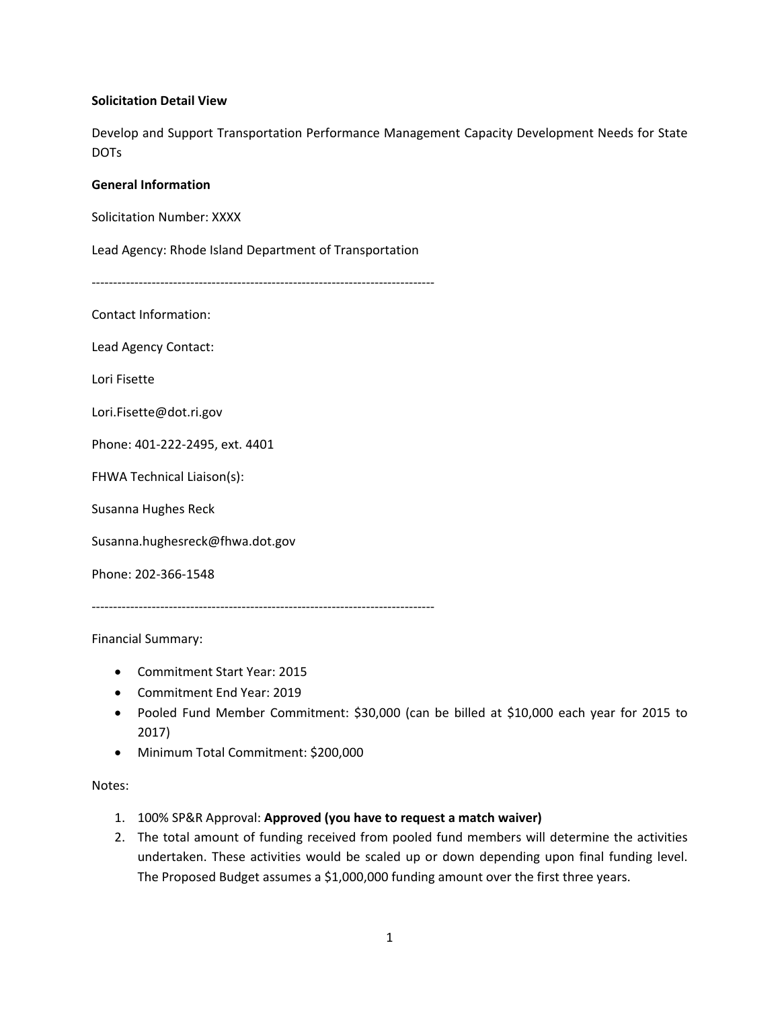#### **Solicitation Detail View**

Develop and Support Transportation Performance Management Capacity Development Needs for State DOTs

#### **General Information**

Solicitation Number: XXXX

Lead Agency: Rhode Island Department of Transportation

‐‐‐‐‐‐‐‐‐‐‐‐‐‐‐‐‐‐‐‐‐‐‐‐‐‐‐‐‐‐‐‐‐‐‐‐‐‐‐‐‐‐‐‐‐‐‐‐‐‐‐‐‐‐‐‐‐‐‐‐‐‐‐‐‐‐‐‐‐‐‐‐‐‐‐‐‐‐‐‐

Contact Information:

Lead Agency Contact:

Lori Fisette

Lori.Fisette@dot.ri.gov

Phone: 401‐222‐2495, ext. 4401

FHWA Technical Liaison(s):

Susanna Hughes Reck

Susanna.hughesreck@fhwa.dot.gov

Phone: 202‐366‐1548

‐‐‐‐‐‐‐‐‐‐‐‐‐‐‐‐‐‐‐‐‐‐‐‐‐‐‐‐‐‐‐‐‐‐‐‐‐‐‐‐‐‐‐‐‐‐‐‐‐‐‐‐‐‐‐‐‐‐‐‐‐‐‐‐‐‐‐‐‐‐‐‐‐‐‐‐‐‐‐‐

Financial Summary:

- Commitment Start Year: 2015
- Commitment End Year: 2019
- Pooled Fund Member Commitment: \$30,000 (can be billed at \$10,000 each year for 2015 to 2017)
- Minimum Total Commitment: \$200,000

Notes:

- 1. 100% SP&R Approval: **Approved (you have to request a match waiver)**
- 2. The total amount of funding received from pooled fund members will determine the activities undertaken. These activities would be scaled up or down depending upon final funding level. The Proposed Budget assumes a \$1,000,000 funding amount over the first three years.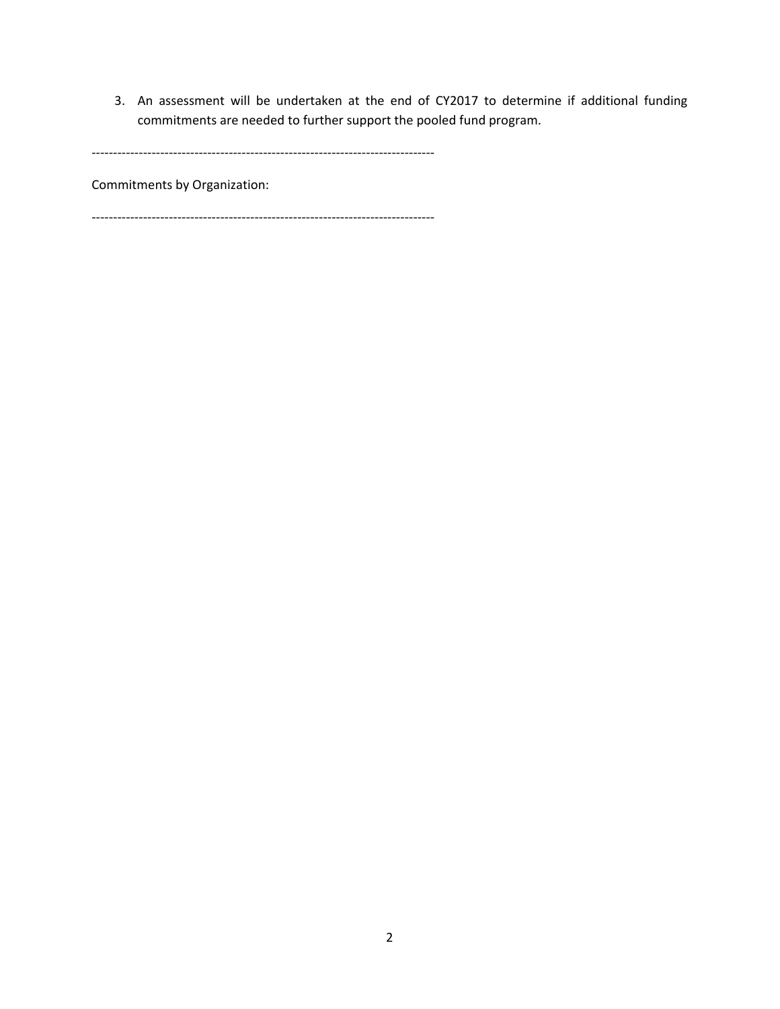3. An assessment will be undertaken at the end of CY2017 to determine if additional funding commitments are needed to further support the pooled fund program.

‐‐‐‐‐‐‐‐‐‐‐‐‐‐‐‐‐‐‐‐‐‐‐‐‐‐‐‐‐‐‐‐‐‐‐‐‐‐‐‐‐‐‐‐‐‐‐‐‐‐‐‐‐‐‐‐‐‐‐‐‐‐‐‐‐‐‐‐‐‐‐‐‐‐‐‐‐‐‐‐

Commitments by Organization:

‐‐‐‐‐‐‐‐‐‐‐‐‐‐‐‐‐‐‐‐‐‐‐‐‐‐‐‐‐‐‐‐‐‐‐‐‐‐‐‐‐‐‐‐‐‐‐‐‐‐‐‐‐‐‐‐‐‐‐‐‐‐‐‐‐‐‐‐‐‐‐‐‐‐‐‐‐‐‐‐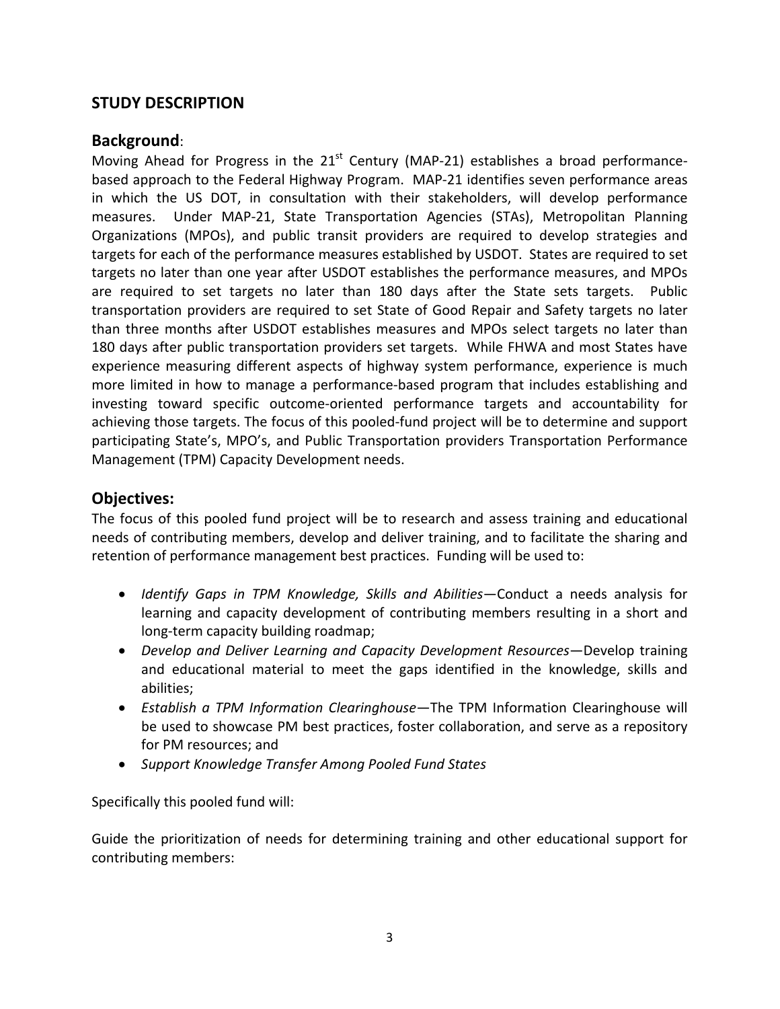## **STUDY DESCRIPTION**

### **Background**:

Moving Ahead for Progress in the  $21<sup>st</sup>$  Century (MAP-21) establishes a broad performancebased approach to the Federal Highway Program. MAP‐21 identifies seven performance areas in which the US DOT, in consultation with their stakeholders, will develop performance measures. Under MAP-21, State Transportation Agencies (STAs), Metropolitan Planning Organizations (MPOs), and public transit providers are required to develop strategies and targets for each of the performance measures established by USDOT. States are required to set targets no later than one year after USDOT establishes the performance measures, and MPOs are required to set targets no later than 180 days after the State sets targets. Public transportation providers are required to set State of Good Repair and Safety targets no later than three months after USDOT establishes measures and MPOs select targets no later than 180 days after public transportation providers set targets. While FHWA and most States have experience measuring different aspects of highway system performance, experience is much more limited in how to manage a performance‐based program that includes establishing and investing toward specific outcome‐oriented performance targets and accountability for achieving those targets. The focus of this pooled‐fund project will be to determine and support participating State's, MPO's, and Public Transportation providers Transportation Performance Management (TPM) Capacity Development needs.

# **Objectives:**

The focus of this pooled fund project will be to research and assess training and educational needs of contributing members, develop and deliver training, and to facilitate the sharing and retention of performance management best practices. Funding will be used to:

- *Identify Gaps in TPM Knowledge, Skills and Abilities*—Conduct a needs analysis for learning and capacity development of contributing members resulting in a short and long‐term capacity building roadmap;
- *Develop and Deliver Learning and Capacity Development Resources*—Develop training and educational material to meet the gaps identified in the knowledge, skills and abilities;
- *Establish a TPM Information Clearinghouse*—The TPM Information Clearinghouse will be used to showcase PM best practices, foster collaboration, and serve as a repository for PM resources; and
- *Support Knowledge Transfer Among Pooled Fund States*

Specifically this pooled fund will:

Guide the prioritization of needs for determining training and other educational support for contributing members: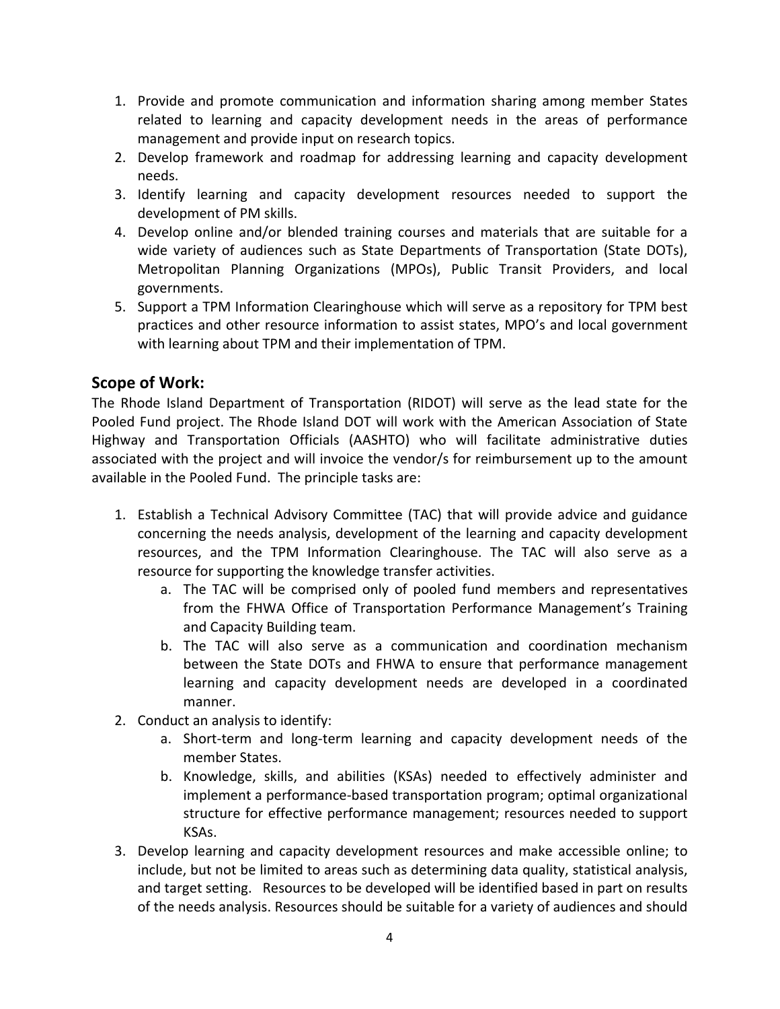- 1. Provide and promote communication and information sharing among member States related to learning and capacity development needs in the areas of performance management and provide input on research topics.
- 2. Develop framework and roadmap for addressing learning and capacity development needs.
- 3. Identify learning and capacity development resources needed to support the development of PM skills.
- 4. Develop online and/or blended training courses and materials that are suitable for a wide variety of audiences such as State Departments of Transportation (State DOTs), Metropolitan Planning Organizations (MPOs), Public Transit Providers, and local governments.
- 5. Support a TPM Information Clearinghouse which will serve as a repository for TPM best practices and other resource information to assist states, MPO's and local government with learning about TPM and their implementation of TPM.

# **Scope of Work:**

The Rhode Island Department of Transportation (RIDOT) will serve as the lead state for the Pooled Fund project. The Rhode Island DOT will work with the American Association of State Highway and Transportation Officials (AASHTO) who will facilitate administrative duties associated with the project and will invoice the vendor/s for reimbursement up to the amount available in the Pooled Fund. The principle tasks are:

- 1. Establish a Technical Advisory Committee (TAC) that will provide advice and guidance concerning the needs analysis, development of the learning and capacity development resources, and the TPM Information Clearinghouse. The TAC will also serve as a resource for supporting the knowledge transfer activities.
	- a. The TAC will be comprised only of pooled fund members and representatives from the FHWA Office of Transportation Performance Management's Training and Capacity Building team.
	- b. The TAC will also serve as a communication and coordination mechanism between the State DOTs and FHWA to ensure that performance management learning and capacity development needs are developed in a coordinated manner.
- 2. Conduct an analysis to identify:
	- a. Short‐term and long‐term learning and capacity development needs of the member States.
	- b. Knowledge, skills, and abilities (KSAs) needed to effectively administer and implement a performance‐based transportation program; optimal organizational structure for effective performance management; resources needed to support KSAs.
- 3. Develop learning and capacity development resources and make accessible online; to include, but not be limited to areas such as determining data quality, statistical analysis, and target setting. Resources to be developed will be identified based in part on results of the needs analysis. Resources should be suitable for a variety of audiences and should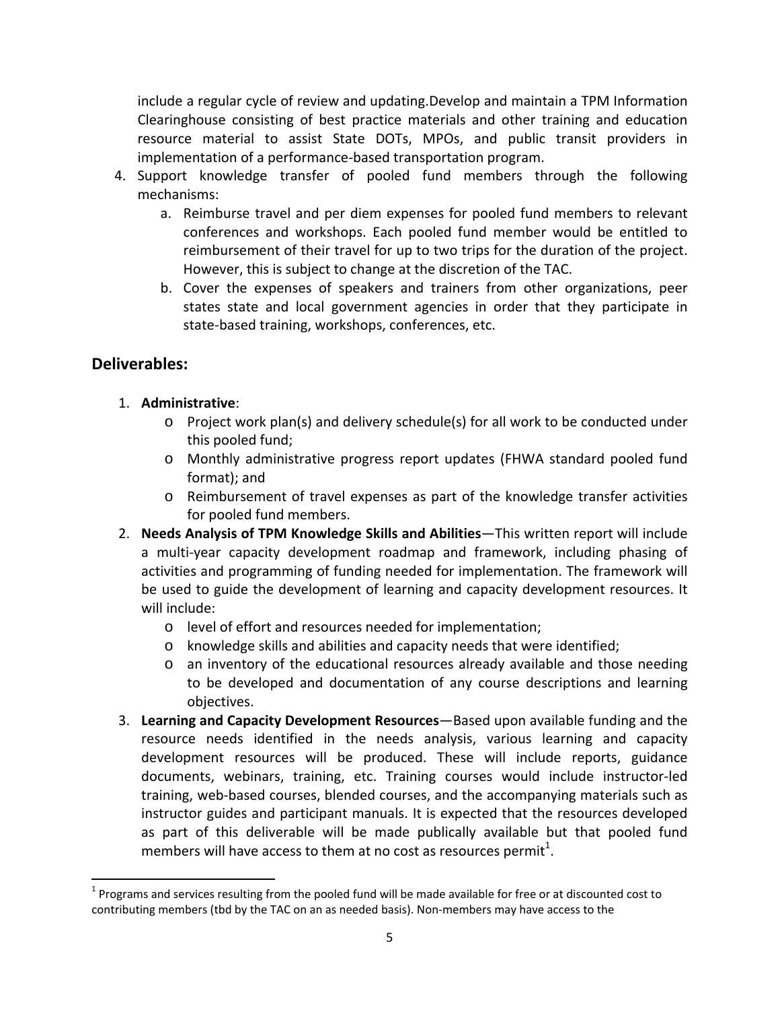include a regular cycle of review and updating.Develop and maintain a TPM Information Clearinghouse consisting of best practice materials and other training and education resource material to assist State DOTs, MPOs, and public transit providers in implementation of a performance‐based transportation program.

- 4. Support knowledge transfer of pooled fund members through the following mechanisms:
	- a. Reimburse travel and per diem expenses for pooled fund members to relevant conferences and workshops. Each pooled fund member would be entitled to reimbursement of their travel for up to two trips for the duration of the project. However, this is subject to change at the discretion of the TAC.
	- b. Cover the expenses of speakers and trainers from other organizations, peer states state and local government agencies in order that they participate in state‐based training, workshops, conferences, etc.

# **Deliverables:**

- 1. **Administrative**:
	- o Project work plan(s) and delivery schedule(s) for all work to be conducted under this pooled fund;
	- o Monthly administrative progress report updates (FHWA standard pooled fund format); and
	- o Reimbursement of travel expenses as part of the knowledge transfer activities for pooled fund members.
- 2. **Needs Analysis of TPM Knowledge Skills and Abilities**—This written report will include a multi‐year capacity development roadmap and framework, including phasing of activities and programming of funding needed for implementation. The framework will be used to guide the development of learning and capacity development resources. It will include:
	- o level of effort and resources needed for implementation;
	- o knowledge skills and abilities and capacity needs that were identified;
	- o an inventory of the educational resources already available and those needing to be developed and documentation of any course descriptions and learning objectives.
- 3. **Learning and Capacity Development Resources**—Based upon available funding and the resource needs identified in the needs analysis, various learning and capacity development resources will be produced. These will include reports, guidance documents, webinars, training, etc. Training courses would include instructor‐led training, web‐based courses, blended courses, and the accompanying materials such as instructor guides and participant manuals. It is expected that the resources developed as part of this deliverable will be made publically available but that pooled fund members will have access to them at no cost as resources permit<sup>1</sup>.

  $1$  Programs and services resulting from the pooled fund will be made available for free or at discounted cost to contributing members (tbd by the TAC on an as needed basis). Non-members may have access to the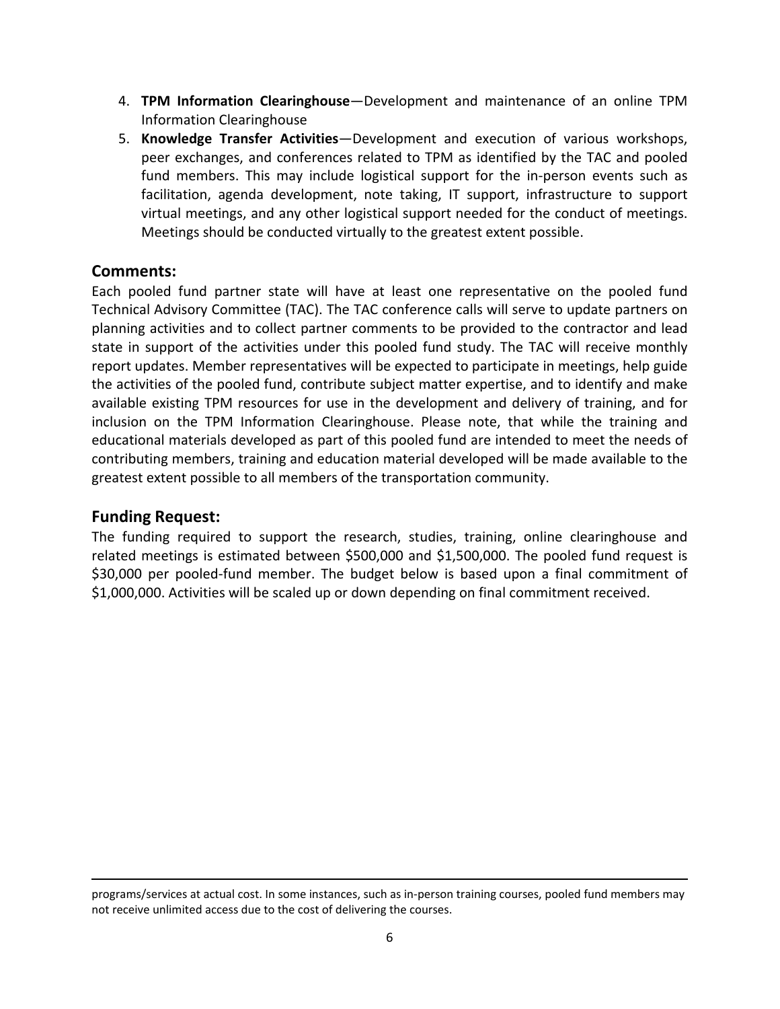- 4. **TPM Information Clearinghouse**—Development and maintenance of an online TPM Information Clearinghouse
- 5. **Knowledge Transfer Activities**—Development and execution of various workshops, peer exchanges, and conferences related to TPM as identified by the TAC and pooled fund members. This may include logistical support for the in-person events such as facilitation, agenda development, note taking, IT support, infrastructure to support virtual meetings, and any other logistical support needed for the conduct of meetings. Meetings should be conducted virtually to the greatest extent possible.

## **Comments:**

Each pooled fund partner state will have at least one representative on the pooled fund Technical Advisory Committee (TAC). The TAC conference calls will serve to update partners on planning activities and to collect partner comments to be provided to the contractor and lead state in support of the activities under this pooled fund study. The TAC will receive monthly report updates. Member representatives will be expected to participate in meetings, help guide the activities of the pooled fund, contribute subject matter expertise, and to identify and make available existing TPM resources for use in the development and delivery of training, and for inclusion on the TPM Information Clearinghouse. Please note, that while the training and educational materials developed as part of this pooled fund are intended to meet the needs of contributing members, training and education material developed will be made available to the greatest extent possible to all members of the transportation community.

#### **Funding Request:**

The funding required to support the research, studies, training, online clearinghouse and related meetings is estimated between \$500,000 and \$1,500,000. The pooled fund request is \$30,000 per pooled-fund member. The budget below is based upon a final commitment of \$1,000,000. Activities will be scaled up or down depending on final commitment received.

<sup>&</sup>lt;u> 1989 - Johann Stoff, amerikansk politiker (d. 1989)</u> programs/services at actual cost. In some instances, such as in‐person training courses, pooled fund members may not receive unlimited access due to the cost of delivering the courses.